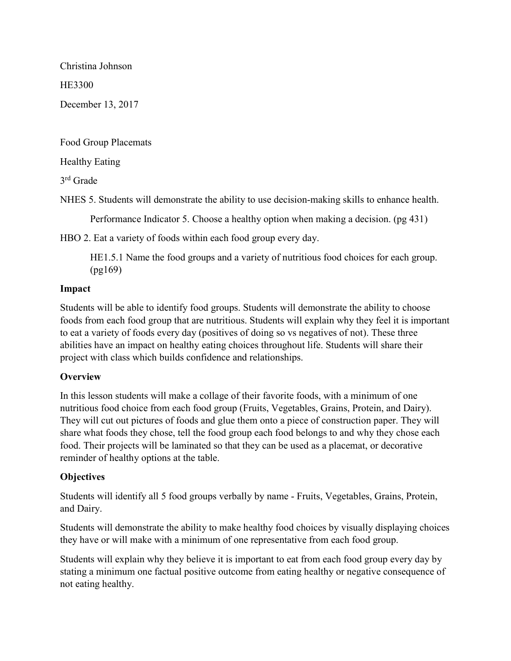Christina Johnson

HE3300

December 13, 2017

Food Group Placemats

Healthy Eating

3 rd Grade

NHES 5. Students will demonstrate the ability to use decision-making skills to enhance health.

Performance Indicator 5. Choose a healthy option when making a decision. (pg 431)

HBO 2. Eat a variety of foods within each food group every day.

HE1.5.1 Name the food groups and a variety of nutritious food choices for each group. (pg169)

# Impact

Students will be able to identify food groups. Students will demonstrate the ability to choose foods from each food group that are nutritious. Students will explain why they feel it is important to eat a variety of foods every day (positives of doing so vs negatives of not). These three abilities have an impact on healthy eating choices throughout life. Students will share their project with class which builds confidence and relationships.

# **Overview**

In this lesson students will make a collage of their favorite foods, with a minimum of one nutritious food choice from each food group (Fruits, Vegetables, Grains, Protein, and Dairy). They will cut out pictures of foods and glue them onto a piece of construction paper. They will share what foods they chose, tell the food group each food belongs to and why they chose each food. Their projects will be laminated so that they can be used as a placemat, or decorative reminder of healthy options at the table.

# **Objectives**

Students will identify all 5 food groups verbally by name - Fruits, Vegetables, Grains, Protein, and Dairy.

Students will demonstrate the ability to make healthy food choices by visually displaying choices they have or will make with a minimum of one representative from each food group.

Students will explain why they believe it is important to eat from each food group every day by stating a minimum one factual positive outcome from eating healthy or negative consequence of not eating healthy.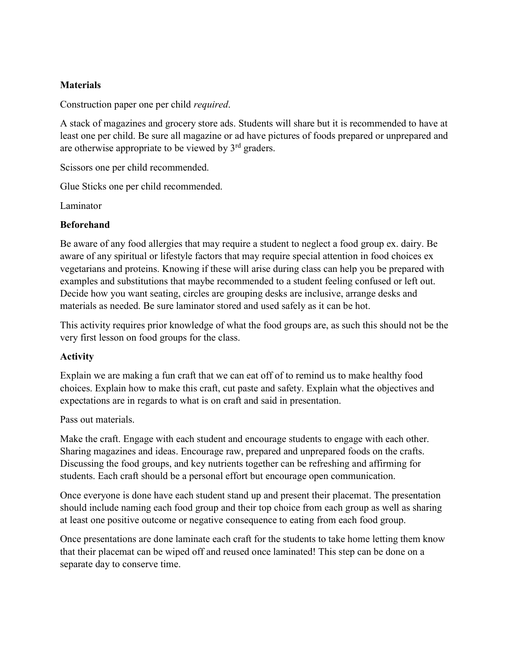#### **Materials**

Construction paper one per child required.

A stack of magazines and grocery store ads. Students will share but it is recommended to have at least one per child. Be sure all magazine or ad have pictures of foods prepared or unprepared and are otherwise appropriate to be viewed by  $3<sup>rd</sup>$  graders.

Scissors one per child recommended.

Glue Sticks one per child recommended.

Laminator

# Beforehand

Be aware of any food allergies that may require a student to neglect a food group ex. dairy. Be aware of any spiritual or lifestyle factors that may require special attention in food choices ex vegetarians and proteins. Knowing if these will arise during class can help you be prepared with examples and substitutions that maybe recommended to a student feeling confused or left out. Decide how you want seating, circles are grouping desks are inclusive, arrange desks and materials as needed. Be sure laminator stored and used safely as it can be hot.

This activity requires prior knowledge of what the food groups are, as such this should not be the very first lesson on food groups for the class.

# Activity

Explain we are making a fun craft that we can eat off of to remind us to make healthy food choices. Explain how to make this craft, cut paste and safety. Explain what the objectives and expectations are in regards to what is on craft and said in presentation.

Pass out materials.

Make the craft. Engage with each student and encourage students to engage with each other. Sharing magazines and ideas. Encourage raw, prepared and unprepared foods on the crafts. Discussing the food groups, and key nutrients together can be refreshing and affirming for students. Each craft should be a personal effort but encourage open communication.

Once everyone is done have each student stand up and present their placemat. The presentation should include naming each food group and their top choice from each group as well as sharing at least one positive outcome or negative consequence to eating from each food group.

Once presentations are done laminate each craft for the students to take home letting them know that their placemat can be wiped off and reused once laminated! This step can be done on a separate day to conserve time.